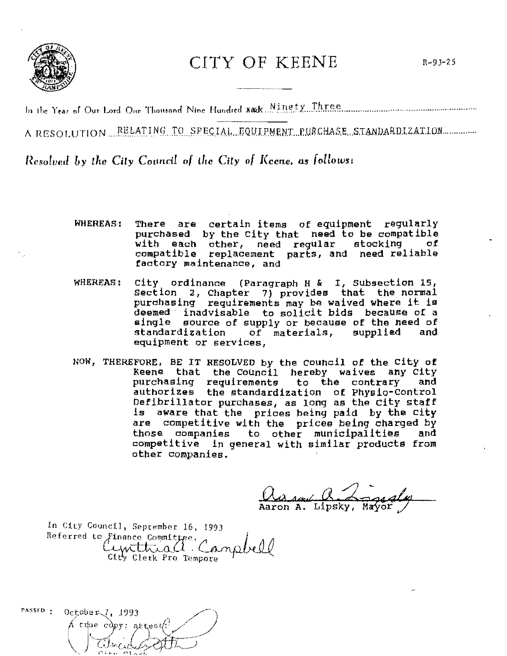

## CITY OF KEENE

A RESOLUTION RELATING TO SPECIAL EQUIPMENT PURCHASE STANDARDIZATION

Resolved by the City Council of the City of Keene, as follows:

- **WHEREAS:** There are certain items of equipment regularly purchased by the City that need to be compatible with each other, need regular stocking of<br>compatible replacement parts, and need reliable factory maintenance, and
- WHEREAS: City ordinance (Paragraph H & I, Subsection 15, Section 2, Chapter 7) provides that the normal<br>purchasing requirements may be waived where it is deemed inadvisable to solicit bids because of a single source of supply or because of the need of standardization of materials, supplied and equipment or services,
- NOW, THEREFORE, BE IT RESOLVED by the Council of the City of Keene that the Council hereby waives any City purchasing requirements to the contrary and authorizes the standardization of Physic-Control Defibrillator purchases, as long as the City staff is aware that the prices being paid by the City are competitive with the prices being charged by those companies to other municipalities and competitive in general with similar products from other companies.

<u>Ma send (L. Lagealege</u>

In City Council, September 16, 1993 Referred to Finance Committee. Campbell City Clerk Pro Tempore

 $\texttt{passD}$ : October 7, 1993  $\Lambda$  thue copy; attents